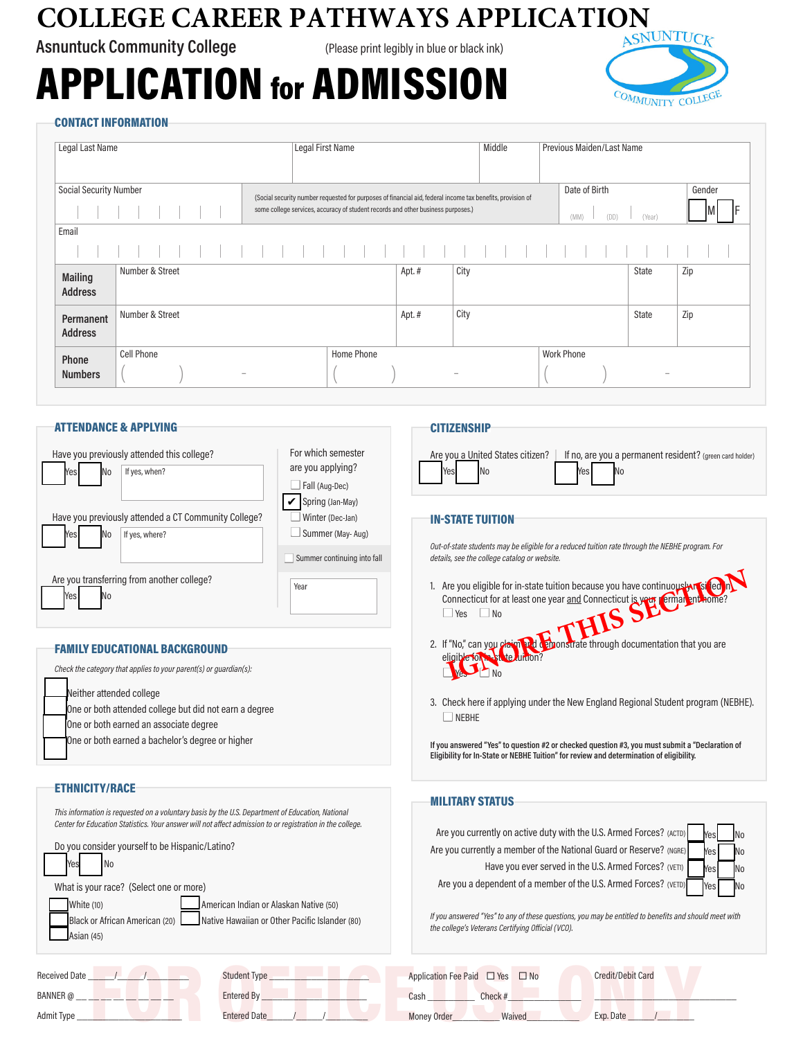# **COLLEGE CAREER PATHWAYS APPLICATION**

**Asnuntuck Community College** (Please print legibly in blue or black ink)

# APPLICATION for ADMISSION



#### CONTACT INFORMATION

| Legal Last Name                  |                        |  | Legal First Name                                                                                                                                                                               |       | Middle | Previous Maiden/Last Name               |                          |        |
|----------------------------------|------------------------|--|------------------------------------------------------------------------------------------------------------------------------------------------------------------------------------------------|-------|--------|-----------------------------------------|--------------------------|--------|
| Social Security Number           |                        |  | (Social security number requested for purposes of financial aid, federal income tax benefits, provision of<br>some college services, accuracy of student records and other business purposes.) |       |        | Date of Birth<br>(DD)<br>(MM)<br>(Year) |                          | Gender |
| Email                            |                        |  |                                                                                                                                                                                                |       |        |                                         |                          |        |
|                                  |                        |  |                                                                                                                                                                                                |       |        |                                         |                          |        |
| <b>Mailing</b><br><b>Address</b> | Number & Street        |  |                                                                                                                                                                                                | Apt.# | City   |                                         | State                    | Zip    |
| Permanent<br><b>Address</b>      | Number & Street        |  |                                                                                                                                                                                                | Apt.# | City   |                                         | State                    | Zip    |
| Phone<br><b>Numbers</b>          | <b>Cell Phone</b><br>۰ |  | Home Phone                                                                                                                                                                                     |       |        | <b>Work Phone</b>                       | $\overline{\phantom{a}}$ |        |

**CITIZENSHIP** 

Yes No

IN-STATE TUITION

 $\Box$  Yes  $\Box$  No

 $\Box$  NEBHE

eligible for **in-state** tuition?

*details, see the college catalog or website.*

# ATTENDANCE & APPLYING

| Have you previously attended this college?              | For which semester<br>are you applying? |  |  |
|---------------------------------------------------------|-----------------------------------------|--|--|
| If yes, when?<br>Yesl<br>No                             | Fall (Aug-Dec)                          |  |  |
|                                                         | Spring (Jan-May)                        |  |  |
| Have you previously attended a CT Community College?    | Winter (Dec-Jan)                        |  |  |
| Yes<br>If yes, where?<br>No                             | Summer (May-Aug)                        |  |  |
|                                                         | Summer continuing into fall             |  |  |
| Are you transferring from another college?<br>Yes<br>No | Year                                    |  |  |

#### FAMILY EDUCATIONAL BACKGROUND

Neither attended college One or both attended college but did not earn a degree one or both earned an associate degree One or both earned a bachelor's degree or higher *Check the category that applies to your parent(s) or guardian(s):* 

#### ETHNICITY/RACE

| This information is requested on a voluntary basis by the U.S. Department of Education, National<br>Center for Education Statistics. Your answer will not affect admission to or registration in the college.<br>Do you consider yourself to be Hispanic/Latino?<br>What is your race? (Select one or more)<br>White (10)<br>American Indian or Alaskan Native (50)<br>Native Hawaiian or Other Pacific Islander (80)<br>Black or African American (20)<br>Asian (45) | <b>MILITARY STATUS</b><br>Are you currently on active duty with the U.S. Armed Forces? (ACTD)<br>IN <sub>0</sub><br>Are you currently a member of the National Guard or Reserve? (NGRE)<br>Yes<br>Have you ever served in the U.S. Armed Forces? (VETI)<br>Are you a dependent of a member of the U.S. Armed Forces? (VETD)<br>Yes<br>If you answered "Yes" to any of these questions, you may be entitled to benefits and should meet with<br>the college's Veterans Certifying Official (VCO). |  |  |  |
|-----------------------------------------------------------------------------------------------------------------------------------------------------------------------------------------------------------------------------------------------------------------------------------------------------------------------------------------------------------------------------------------------------------------------------------------------------------------------|--------------------------------------------------------------------------------------------------------------------------------------------------------------------------------------------------------------------------------------------------------------------------------------------------------------------------------------------------------------------------------------------------------------------------------------------------------------------------------------------------|--|--|--|
| <b>Student Type</b><br><b>Received Date</b><br>BANNER @<br>Entered By<br>Admit Type<br><b>Entered Date</b>                                                                                                                                                                                                                                                                                                                                                            | Application Fee Paid $\Box$ Yes<br><b>Credit/Debit Card</b><br>$\Box$ No<br>Check#<br>Cash<br>Money Order<br>Waived<br>Exp. Date                                                                                                                                                                                                                                                                                                                                                                 |  |  |  |

 $\overline{\phantom{a}}$ No n No n No **No** 

Are you a United States citizen? | If no, are you a permanent resident? (green card holder)

1. Are you eligible for in-state tuition because you have continuously resided in Connecticut for at least one year <u>and</u> Connecticut is your perman and home?

*Out-of-state students may be eligible for a reduced tuition rate through the NEBHE program. For* 

2. If "No," can you claim and demonstrate through documentation that you are

3. Check here if applying under the New England Regional Student program (NEBHE).

Are you eligible for in-state tuition because you have continuously recorded and Connecticut for at least one year <u>and</u> Connecticut is year. Emilal ent home?<br>
I Yes No Booking to the discussion of the connecticut of the c

**If you answered "Yes" to question #2 or checked question #3, you must submit a "Declaration of Eligibility for In-State or NEBHE Tuition" for review and determination of eligibility.**

Yes No